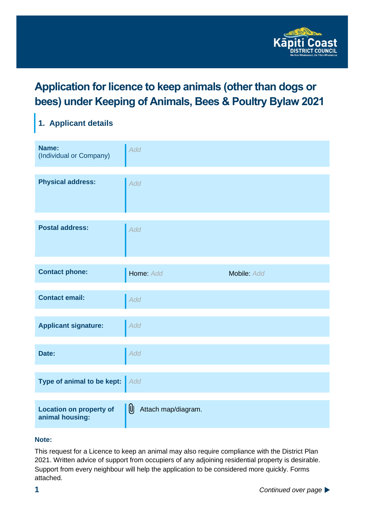

## **Application for licence to keep animals (other than dogs or bees) under Keeping of Animals, Bees & Poultry Bylaw 2021**

## **1. Applicant details**

| Name:<br>(Individual or Company)                  | Add                      |             |
|---------------------------------------------------|--------------------------|-------------|
| <b>Physical address:</b>                          | Add                      |             |
| <b>Postal address:</b>                            | Add                      |             |
| <b>Contact phone:</b>                             | Home: Add                | Mobile: Add |
| <b>Contact email:</b>                             | Add                      |             |
| <b>Applicant signature:</b>                       | Add                      |             |
| Date:                                             | Add                      |             |
| Type of animal to be kept:                        | Add                      |             |
| <b>Location on property of</b><br>animal housing: | U<br>Attach map/diagram. |             |

#### **Note:**

This request for a Licence to keep an animal may also require compliance with the District Plan 2021. Written advice of support from occupiers of any adjoining residential property is desirable. Support from every neighbour will help the application to be considered more quickly. Forms attached.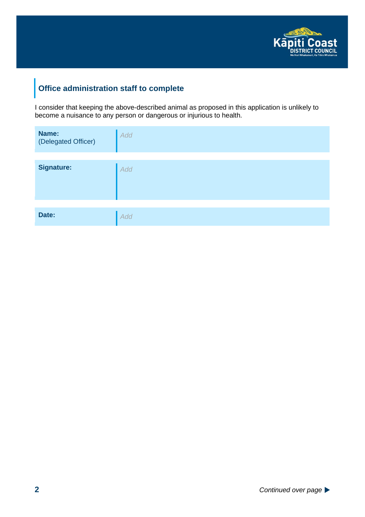

#### **Office administration staff to complete**

I consider that keeping the above-described animal as proposed in this application is unlikely to become a nuisance to any person or dangerous or injurious to health.

| Name:<br>(Delegated Officer) | Add |
|------------------------------|-----|
|                              |     |
| <b>Signature:</b>            | Add |
|                              |     |
| Date:                        | Add |